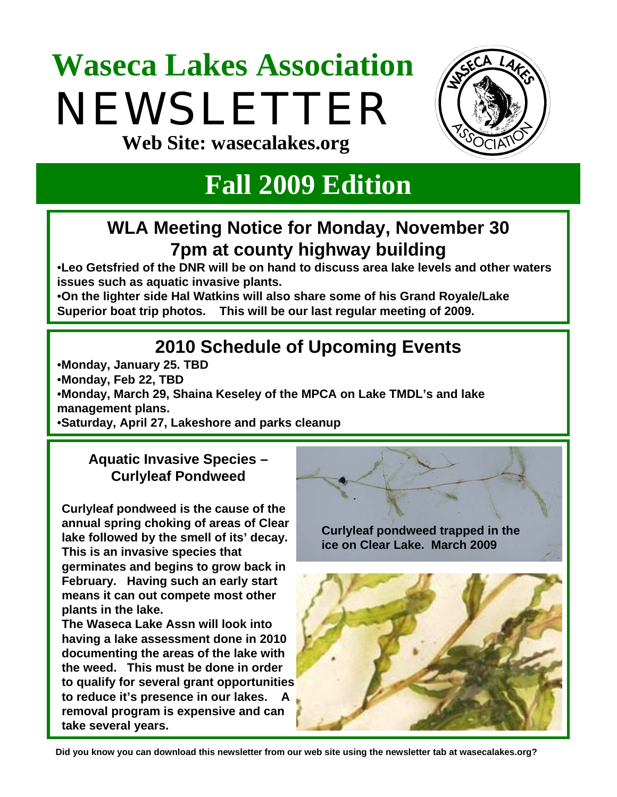# **Waseca Lakes Association**  NEWSLETTER



**Web Site: wasecalakes.org**

# **Fall 2009 Edition**

# **WLA Meeting Notice for Monday, November 30 7pm at county highway building**

•**Leo Getsfried of the DNR will be on hand to discuss area lake levels and other waters issues such as aquatic invasive plants.** 

•**On the lighter side Hal Watkins will also share some of his Grand Royale/Lake Superior boat trip photos. This will be our last regular meeting of 2009.**

# **2010 Schedule of Upcoming Events**

•**Monday, January 25. TBD**

•**Monday, Feb 22, TBD**

•**Monday, March 29, Shaina Keseley of the MPCA on Lake TMDL's and lake management plans.** 

•**Saturday, April 27, Lakeshore and parks cleanup**

#### **Aquatic Invasive Species – Curlyleaf Pondweed**

**Curlyleaf pondweed is the cause of the annual spring choking of areas of Clear lake followed by the smell of its' decay. This is an invasive species that germinates and begins to grow back in February. Having such an early start means it can out compete most other plants in the lake.** 

**The Waseca Lake Assn will look into having a lake assessment done in 2010 documenting the areas of the lake with the weed. This must be done in order to qualify for several grant opportunities to reduce it's presence in our lakes. A removal program is expensive and can take several years.** 

**Curlyleaf pondweed trapped in the ice on Clear Lake. March 2009**



**Did you know you can download this newsletter from our web site using the newsletter tab at wasecalakes.org?**